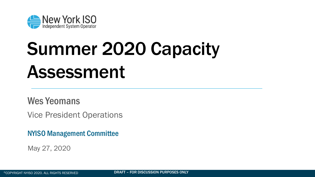## Wes Yeomans

Vice President Operations

NYISO Management Committee

May 27, 2020

©COPYRIGHT NYISO 2020. ALL RIGHTS RESERVED **DRAFT – FOR DISCUSSION PURPOSES ONLY** 





# Summer 2020 Capacity Assessment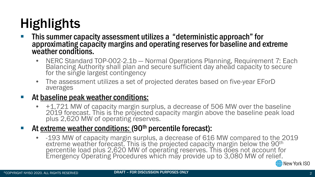## Highlights

### This summer capacity assessment utilizes a "deterministic approach" for approximating capacity margins and operating reserves for baseline and extreme

• NERC Standard TOP-002-2.1b — Normal Operations Planning, Requirement 7: Each Balancing Authority shall plan and secure sufficient day ahead capacity to secure

- weather conditions.
	- for the single largest contingency
	- averages

• The assessment utilizes a set of projected derates based on five-year EForD

## At baseline peak weather conditions:

• +1,721 MW of capacity margin surplus, a decrease of 506 MW over the baseline 2019 forecast. This is the projected capacity margin above the baseline peak load

plus 2,620 MW of operating reserves.

## At extreme weather conditions: (90<sup>th</sup> percentile forecast):

• -193 MW of capacity margin surplus, a decrease of 616 MW compared to the 2019 extreme weather forecast. This is the projected capacity margin below the 90<sup>th</sup> percentile load plus 2,620 MW of operating reserves. This does not account for Emergency Operating Procedures which may provide up to 3,080 MW of relief.



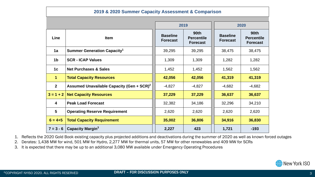1. Reflects the 2020 Gold Book existing capacity plus projected additions and deactivations during the summer of 2020 as well as known forced outages





- 
- 2. Derates: 1,438 MW for wind, 501 MW for Hydro, 2,277 MW for thermal units, 57 MW for other renewables and 409 MW for SCRs
- 3. It is expected that there may be up to an additional 3,080 MW available under Emergency Operating Procedures

| 2019 & 2020 Summer Capacity Assessment & Comparison |                                                       |                                    |                                              |                                    |                                                     |
|-----------------------------------------------------|-------------------------------------------------------|------------------------------------|----------------------------------------------|------------------------------------|-----------------------------------------------------|
|                                                     |                                                       | 2019                               |                                              | 2020                               |                                                     |
| <b>Line</b>                                         | <b>Item</b>                                           | <b>Baseline</b><br><b>Forecast</b> | <b>90th</b><br><b>Percentile</b><br>Forecast | <b>Baseline</b><br><b>Forecast</b> | <b>90th</b><br><b>Percentile</b><br><b>Forecast</b> |
| 1a                                                  | <b>Summer Generation Capacity<sup>1</sup></b>         | 39,295                             | 39,295                                       | 38,475                             | 38,475                                              |
| 1 <sub>b</sub>                                      | <b>SCR - ICAP Values</b>                              | 1,309                              | 1,309                                        | 1,282                              | 1,282                                               |
| 1 <sub>c</sub>                                      | <b>Net Purchases &amp; Sales</b>                      | 1,452                              | 1,452                                        | 1,562                              | 1,562                                               |
|                                                     | <b>Total Capacity Resources</b>                       | 42,056                             | 42,056                                       | 41,319                             | 41,319                                              |
| $\overline{2}$                                      | Assumed Unavailable Capacity (Gen + SCR) <sup>2</sup> | $-4,827$                           | $-4,827$                                     | $-4,682$                           | $-4,682$                                            |
| $3 = 1 + 2$                                         | <b>Net Capacity Resources</b>                         | 37,229                             | 37,229                                       | 36,637                             | 36,637                                              |
| $\overline{\mathbf{4}}$                             | <b>Peak Load Forecast</b>                             | 32,382                             | 34,186                                       | 32,296                             | 34,210                                              |
| $5\overline{)}$                                     | <b>Operating Reserve Requirement</b>                  | 2,620                              | 2,620                                        | 2,620                              | 2,620                                               |
| $6 = 4 + 5$                                         | <b>Total Capacity Requirement</b>                     | 35,002                             | 36,806                                       | 34,916                             | 36,830                                              |
| $7 = 3 - 6$                                         | <b>Capacity Margin<sup>3</sup></b>                    | 2,227                              | 423                                          | 1,721                              | $-193$                                              |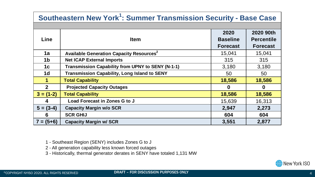- 1 Southeast Region (SENY) includes Zones G to J
- 2 All generation capability less known forced outages
- 3 Historically, thermal generator derates in SENY have totaled 1,131 MW





| <b>Line</b>    | <b>Item</b>                                                | 2020<br><b>Baseline</b> | 2020 90th<br><b>Percentile</b> |
|----------------|------------------------------------------------------------|-------------------------|--------------------------------|
|                |                                                            | <b>Forecast</b>         | <b>Forecast</b>                |
| 1a             | <b>Available Generation Capacity Resources<sup>2</sup></b> | 15,041                  | 15,041                         |
| 1 <sub>b</sub> | <b>Net ICAP External Imports</b>                           | 315                     | 315                            |
| 1c             | <b>Transmission Capability from UPNY to SENY (N-1-1)</b>   | 3,180                   | 3,180                          |
| 1 <sub>d</sub> | <b>Transmission Capability, Long Island to SENY</b>        | 50                      | 50                             |
|                | <b>Total Capability</b>                                    | 18,586                  | 18,586                         |
| $\overline{2}$ | <b>Projected Capacity Outages</b>                          | $\boldsymbol{0}$        |                                |
| $3 = (1-2)$    | <b>Total Capability</b>                                    | 18,586                  | 18,586                         |
| $\overline{4}$ | Load Forecast in Zones G to J                              | 15,639                  | 16,313                         |
| $5 = (3-4)$    | <b>Capacity Margin w/o SCR</b>                             | 2,947                   | 2,273                          |
| 6              | <b>SCR GHIJ</b>                                            | 604                     | 604                            |
| $7 = (5+6)$    | <b>Capacity Margin w/ SCR</b>                              | 3,551                   | 2,877                          |

## **Southeastern New York<sup>1</sup> : Summer Transmission Security - Base Case**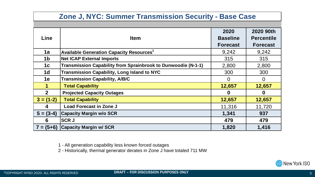1 - All generation capability less known forced outages 2 - Historically, thermal generator derates in Zone J have totaled 711 MW





| Line           | <b>Item</b>                                                   | 2020<br><b>Baseline</b><br><b>Forecast</b> | 2020 90th<br><b>Percentile</b><br><b>Forecast</b> |
|----------------|---------------------------------------------------------------|--------------------------------------------|---------------------------------------------------|
| 1a             | <b>Available Generation Capacity Resources</b>                | 9,242                                      | 9,242                                             |
| 1 <sub>b</sub> | <b>Net ICAP External Imports</b>                              | 315                                        | 315                                               |
| 1c             | Transmission Capability from Sprainbrook to Dunwoodie (N-1-1) | 2,800                                      | 2,800                                             |
| 1 <sub>d</sub> | <b>Transmission Capability, Long Island to NYC</b>            | 300                                        | 300                                               |
| <b>1e</b>      | <b>Transmission Capability, A/B/C</b>                         |                                            | $\mathbf{O}$                                      |
|                | <b>Total Capability</b>                                       | 12,657                                     | 12,657                                            |
| 2 <sup>1</sup> | <b>Projected Capacity Outages</b>                             |                                            |                                                   |
| $3 = (1-2)$    | <b>Total Capability</b>                                       | 12,657                                     | 12,657                                            |
| 4              | <b>Load Forecast in Zone J</b>                                | 11,316                                     | 11,720                                            |
| $5 = (3-4)$    | <b>Capacity Margin w/o SCR</b>                                | 1,341                                      | 937                                               |
| 6              | <b>SCRJ</b>                                                   | 479                                        | 479                                               |
|                | $7 = (5+6)$ Capacity Margin w/ SCR                            | 1,820                                      | 1,416                                             |

### **Zone J, NYC: Summer Transmission Security - Base Case**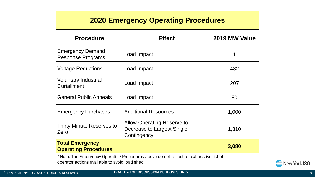| <b>2020 Emergency Operating Procedures</b>            |                                                                                       |               |  |
|-------------------------------------------------------|---------------------------------------------------------------------------------------|---------------|--|
| <b>Procedure</b>                                      | <b>Effect</b>                                                                         | 2019 MW Value |  |
| <b>Emergency Demand</b><br><b>Response Programs</b>   | Load Impact                                                                           |               |  |
| <b>Voltage Reductions</b>                             | <b>Load Impact</b>                                                                    | 482           |  |
| <b>Voluntary Industrial</b><br><b>Curtailment</b>     | Load Impact                                                                           | 207           |  |
| <b>General Public Appeals</b>                         | Load Impact                                                                           | 80            |  |
| <b>Emergency Purchases</b>                            | <b>Additional Resources</b>                                                           | 1,000         |  |
| <b>Thirty Minute Reserves to</b><br>Zero              | <b>Allow Operating Reserve to</b><br><b>Decrease to Largest Single</b><br>Contingency | 1,310         |  |
| <b>Total Emergency</b><br><b>Operating Procedures</b> |                                                                                       | 3,080         |  |

\*Note: The Emergency Operating Procedures above do not reflect an exhaustive list of operator actions available to avoid load shed.



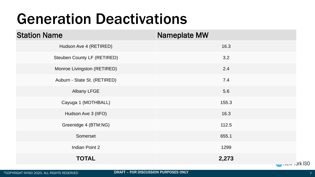# Generation Deactivations

Hudson Ave 4 (RETIRED)

Steuben County LF (RETIRED)

Monroe Livingston (RETIRED)

Auburn - State St. (RETIRED)

Albany LFGE

Cayuga 1 (MOTHBALL)

Hudson Ave 3 (IIFO)

Greenidge 4 (BTM:NG)

Somerset

**Indian Point 2** 

### **TOTAL 2,273**

©COPYRIGHT NYISO 2020. ALL RIGHTS RESERVED **DRAFT – FOR DISCUSSION PURPOSES ONLY** 7

## Station Name Nameplate MW

| 16.3  |
|-------|
| 3.2   |
| 2.4   |
| 7.4   |
| 5.6   |
| 155.3 |
| 16.3  |
| 112.5 |
| 655.1 |
| 1299  |
| 2,273 |

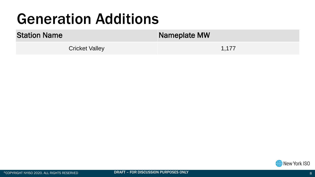# Generation Additions

Cricket Valley 1,177



## Station Name Nameplate MW





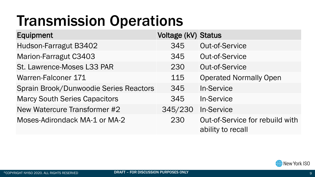# Transmission Operations

- 
- 
- St. Lawrence-Moses L33 PAR 230 Out-of-Service
- 
- Sprain Brook/Dunwoodie Series Reactors 345 In-Service
- Marcy South Series Capacitors 345 In-Service
- New Watercure Transformer #2 345/230 In-Service
- 

## Equipment Voltage (kV) Status

- Hudson-Farragut B3402 345 Out-of-Service
- Marion-Farragut C3403 345 Out-of-Service
	-
- Warren-Falconer 171 115 115 Operated Normally Open
	- -
	-
- Moses-Adirondack MA-1 or MA-2 230 Out-of-Service for rebuild with ability to recall





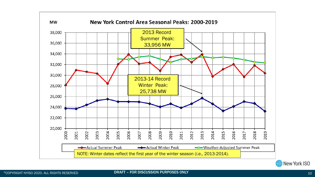



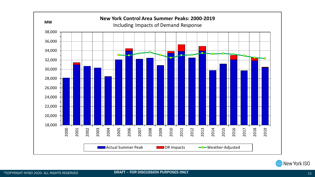